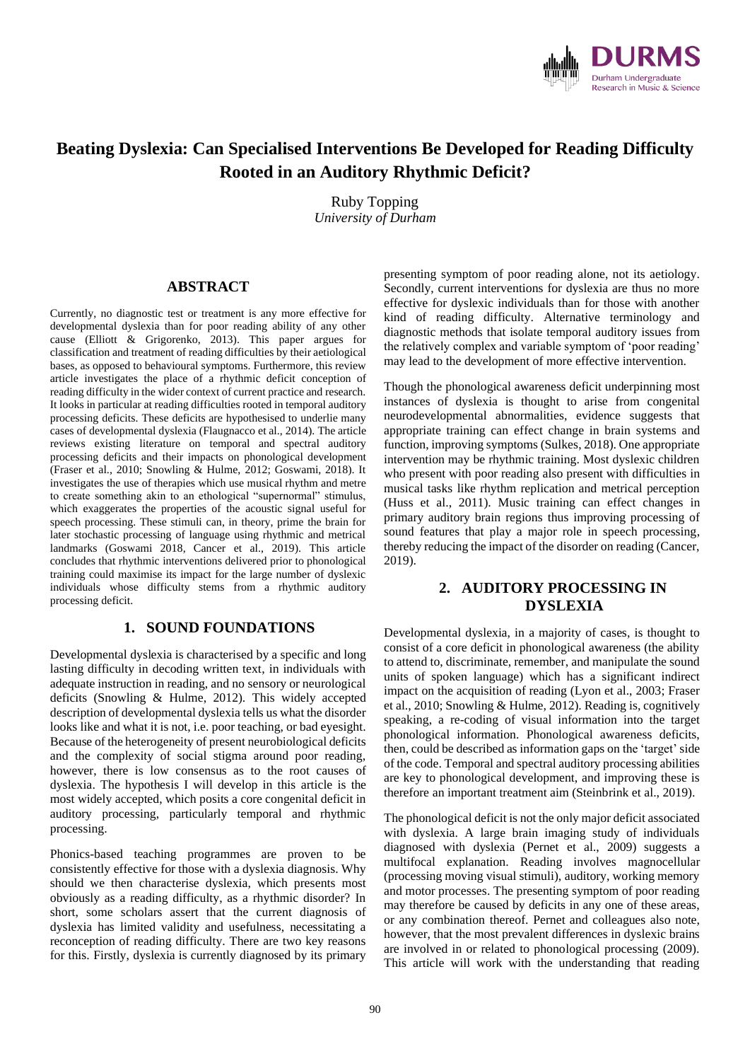

# **Beating Dyslexia: Can Specialised Interventions Be Developed for Reading Difficulty Rooted in an Auditory Rhythmic Deficit?**

Ruby Topping *University of Durham*

#### **ABSTRACT**

Currently, no diagnostic test or treatment is any more effective for developmental dyslexia than for poor reading ability of any other cause (Elliott & Grigorenko, 2013). This paper argues for classification and treatment of reading difficulties by their aetiological bases, as opposed to behavioural symptoms. Furthermore, this review article investigates the place of a rhythmic deficit conception of reading difficulty in the wider context of current practice and research. It looks in particular at reading difficulties rooted in temporal auditory processing deficits. These deficits are hypothesised to underlie many cases of developmental dyslexia (Flaugnacco et al., 2014). The article reviews existing literature on temporal and spectral auditory processing deficits and their impacts on phonological development (Fraser et al., 2010; Snowling & Hulme, 2012; Goswami, 2018). It investigates the use of therapies which use musical rhythm and metre to create something akin to an ethological "supernormal" stimulus, which exaggerates the properties of the acoustic signal useful for speech processing. These stimuli can, in theory, prime the brain for later stochastic processing of language using rhythmic and metrical landmarks (Goswami 2018, Cancer et al., 2019). This article concludes that rhythmic interventions delivered prior to phonological training could maximise its impact for the large number of dyslexic individuals whose difficulty stems from a rhythmic auditory processing deficit.

## **1. SOUND FOUNDATIONS**

Developmental dyslexia is characterised by a specific and long lasting difficulty in decoding written text, in individuals with adequate instruction in reading, and no sensory or neurological deficits (Snowling & Hulme, 2012). This widely accepted description of developmental dyslexia tells us what the disorder looks like and what it is not, i.e. poor teaching, or bad eyesight. Because of the heterogeneity of present neurobiological deficits and the complexity of social stigma around poor reading, however, there is low consensus as to the root causes of dyslexia. The hypothesis I will develop in this article is the most widely accepted, which posits a core congenital deficit in auditory processing, particularly temporal and rhythmic processing.

Phonics-based teaching programmes are proven to be consistently effective for those with a dyslexia diagnosis. Why should we then characterise dyslexia, which presents most obviously as a reading difficulty, as a rhythmic disorder? In short, some scholars assert that the current diagnosis of dyslexia has limited validity and usefulness, necessitating a reconception of reading difficulty. There are two key reasons for this. Firstly, dyslexia is currently diagnosed by its primary presenting symptom of poor reading alone, not its aetiology. Secondly, current interventions for dyslexia are thus no more effective for dyslexic individuals than for those with another kind of reading difficulty. Alternative terminology and diagnostic methods that isolate temporal auditory issues from the relatively complex and variable symptom of 'poor reading' may lead to the development of more effective intervention.

Though the phonological awareness deficit underpinning most instances of dyslexia is thought to arise from congenital neurodevelopmental abnormalities, evidence suggests that appropriate training can effect change in brain systems and function, improving symptoms (Sulkes, 2018). One appropriate intervention may be rhythmic training. Most dyslexic children who present with poor reading also present with difficulties in musical tasks like rhythm replication and metrical perception (Huss et al., 2011). Music training can effect changes in primary auditory brain regions thus improving processing of sound features that play a major role in speech processing, thereby reducing the impact of the disorder on reading (Cancer, 2019).

#### **2. AUDITORY PROCESSING IN DYSLEXIA**

Developmental dyslexia, in a majority of cases, is thought to consist of a core deficit in phonological awareness (the ability to attend to, discriminate, remember, and manipulate the sound units of spoken language) which has a significant indirect impact on the acquisition of reading (Lyon et al., 2003; Fraser et al., 2010; Snowling & Hulme, 2012). Reading is, cognitively speaking, a re-coding of visual information into the target phonological information. Phonological awareness deficits, then, could be described as information gaps on the 'target'side of the code. Temporal and spectral auditory processing abilities are key to phonological development, and improving these is therefore an important treatment aim (Steinbrink et al., 2019).

The phonological deficit is not the only major deficit associated with dyslexia. A large brain imaging study of individuals diagnosed with dyslexia (Pernet et al., 2009) suggests a multifocal explanation. Reading involves magnocellular (processing moving visual stimuli), auditory, working memory and motor processes. The presenting symptom of poor reading may therefore be caused by deficits in any one of these areas, or any combination thereof. Pernet and colleagues also note, however, that the most prevalent differences in dyslexic brains are involved in or related to phonological processing (2009). This article will work with the understanding that reading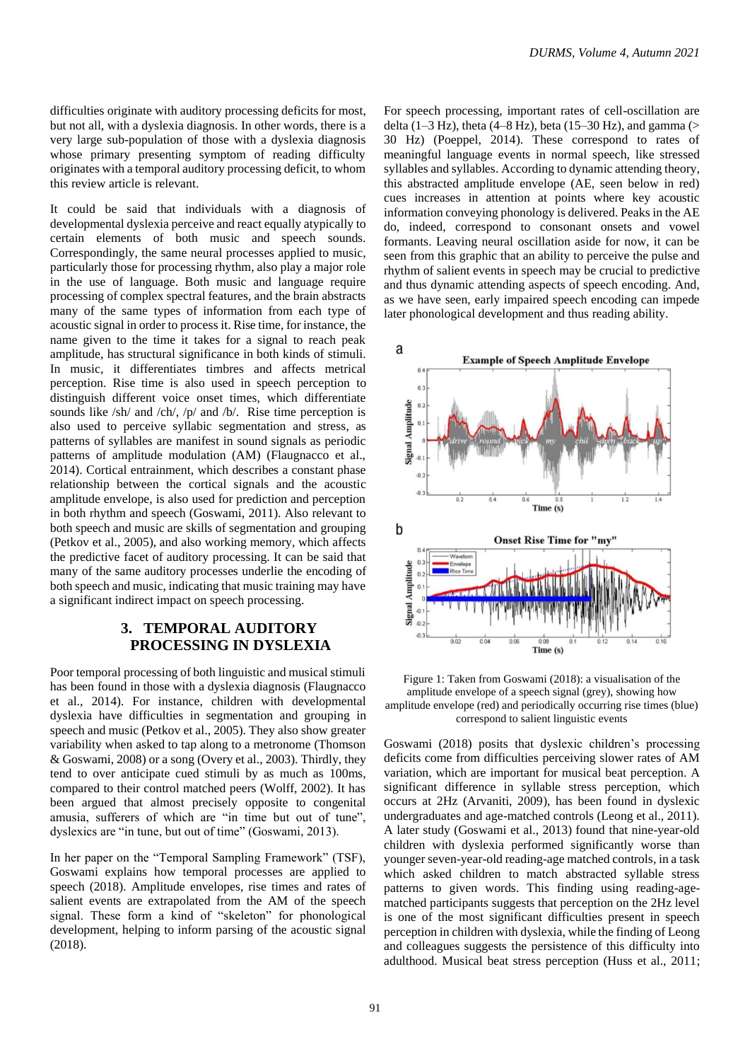difficulties originate with auditory processing deficits for most, but not all, with a dyslexia diagnosis. In other words, there is a very large sub-population of those with a dyslexia diagnosis whose primary presenting symptom of reading difficulty originates with a temporal auditory processing deficit, to whom this review article is relevant.

It could be said that individuals with a diagnosis of developmental dyslexia perceive and react equally atypically to certain elements of both music and speech sounds. Correspondingly, the same neural processes applied to music, particularly those for processing rhythm, also play a major role in the use of language. Both music and language require processing of complex spectral features, and the brain abstracts many of the same types of information from each type of acoustic signal in order to process it. Rise time, for instance, the name given to the time it takes for a signal to reach peak amplitude, has structural significance in both kinds of stimuli. In music, it differentiates timbres and affects metrical perception. Rise time is also used in speech perception to distinguish different voice onset times, which differentiate sounds like /sh/ and /ch/, /p/ and /b/. Rise time perception is also used to perceive syllabic segmentation and stress, as patterns of syllables are manifest in sound signals as periodic patterns of amplitude modulation (AM) (Flaugnacco et al., 2014). Cortical entrainment, which describes a constant phase relationship between the cortical signals and the acoustic amplitude envelope, is also used for prediction and perception in both rhythm and speech (Goswami, 2011). Also relevant to both speech and music are skills of segmentation and grouping (Petkov et al., 2005), and also working memory, which affects the predictive facet of auditory processing. It can be said that many of the same auditory processes underlie the encoding of both speech and music, indicating that music training may have a significant indirect impact on speech processing.

## **3. TEMPORAL AUDITORY PROCESSING IN DYSLEXIA**

Poor temporal processing of both linguistic and musical stimuli has been found in those with a dyslexia diagnosis (Flaugnacco et al., 2014). For instance, children with developmental dyslexia have difficulties in segmentation and grouping in speech and music (Petkov et al., 2005). They also show greater variability when asked to tap along to a metronome (Thomson & Goswami, 2008) or a song (Overy et al., 2003). Thirdly, they tend to over anticipate cued stimuli by as much as 100ms, compared to their control matched peers (Wolff, 2002). It has been argued that almost precisely opposite to congenital amusia, sufferers of which are "in time but out of tune", dyslexics are "in tune, but out of time" (Goswami, 2013).

In her paper on the "Temporal Sampling Framework" (TSF), Goswami explains how temporal processes are applied to speech (2018). Amplitude envelopes, rise times and rates of salient events are extrapolated from the AM of the speech signal. These form a kind of "skeleton" for phonological development, helping to inform parsing of the acoustic signal (2018).

For speech processing, important rates of cell-oscillation are delta (1–3 Hz), theta (4–8 Hz), beta (15–30 Hz), and gamma (> 30 Hz) (Poeppel, 2014). These correspond to rates of meaningful language events in normal speech, like stressed syllables and syllables. According to dynamic attending theory, this abstracted amplitude envelope (AE, seen below in red) cues increases in attention at points where key acoustic information conveying phonology is delivered. Peaks in the AE do, indeed, correspond to consonant onsets and vowel formants. Leaving neural oscillation aside for now, it can be seen from this graphic that an ability to perceive the pulse and rhythm of salient events in speech may be crucial to predictive and thus dynamic attending aspects of speech encoding. And, as we have seen, early impaired speech encoding can impede later phonological development and thus reading ability.



Figure 1: Taken from Goswami (2018): a visualisation of the amplitude envelope of a speech signal (grey), showing how amplitude envelope (red) and periodically occurring rise times (blue) correspond to salient linguistic events

Goswami (2018) posits that dyslexic children's processing deficits come from difficulties perceiving slower rates of AM variation, which are important for musical beat perception. A significant difference in syllable stress perception, which occurs at 2Hz (Arvaniti, 2009), has been found in dyslexic undergraduates and age-matched controls (Leong et al., 2011). A later study (Goswami et al., 2013) found that nine-year-old children with dyslexia performed significantly worse than younger seven-year-old reading-age matched controls,in a task which asked children to match abstracted syllable stress patterns to given words. This finding using reading-agematched participants suggests that perception on the 2Hz level is one of the most significant difficulties present in speech perception in children with dyslexia, while the finding of Leong and colleagues suggests the persistence of this difficulty into adulthood. Musical beat stress perception (Huss et al., 2011;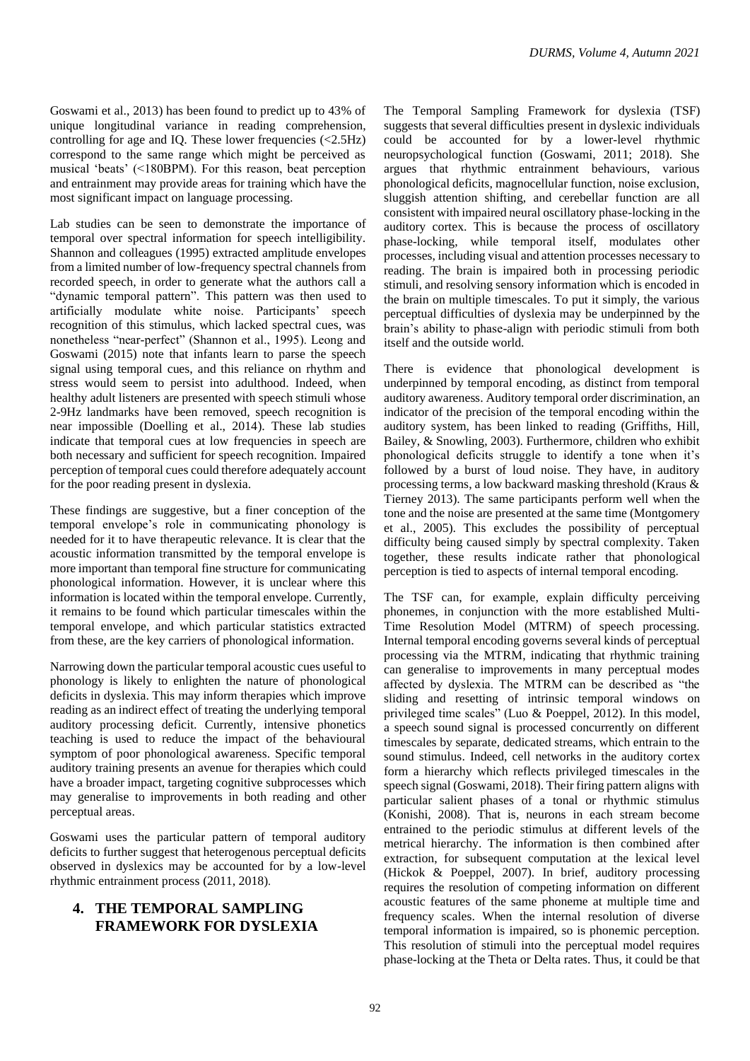Goswami et al., 2013) has been found to predict up to 43% of unique longitudinal variance in reading comprehension, controlling for age and IQ. These lower frequencies  $\langle$  <2.5Hz) correspond to the same range which might be perceived as musical 'beats' (<180BPM). For this reason, beat perception and entrainment may provide areas for training which have the most significant impact on language processing.

Lab studies can be seen to demonstrate the importance of temporal over spectral information for speech intelligibility. Shannon and colleagues (1995) extracted amplitude envelopes from a limited number of low-frequency spectral channels from recorded speech, in order to generate what the authors call a "dynamic temporal pattern". This pattern was then used to artificially modulate white noise. Participants' speech recognition of this stimulus, which lacked spectral cues, was nonetheless "near-perfect" (Shannon et al., 1995). Leong and Goswami (2015) note that infants learn to parse the speech signal using temporal cues, and this reliance on rhythm and stress would seem to persist into adulthood. Indeed, when healthy adult listeners are presented with speech stimuli whose 2-9Hz landmarks have been removed, speech recognition is near impossible (Doelling et al., 2014). These lab studies indicate that temporal cues at low frequencies in speech are both necessary and sufficient for speech recognition. Impaired perception of temporal cues could therefore adequately account for the poor reading present in dyslexia.

These findings are suggestive, but a finer conception of the temporal envelope's role in communicating phonology is needed for it to have therapeutic relevance. It is clear that the acoustic information transmitted by the temporal envelope is more important than temporal fine structure for communicating phonological information. However, it is unclear where this information is located within the temporal envelope. Currently, it remains to be found which particular timescales within the temporal envelope, and which particular statistics extracted from these, are the key carriers of phonological information.

Narrowing down the particular temporal acoustic cues useful to phonology is likely to enlighten the nature of phonological deficits in dyslexia. This may inform therapies which improve reading as an indirect effect of treating the underlying temporal auditory processing deficit. Currently, intensive phonetics teaching is used to reduce the impact of the behavioural symptom of poor phonological awareness. Specific temporal auditory training presents an avenue for therapies which could have a broader impact, targeting cognitive subprocesses which may generalise to improvements in both reading and other perceptual areas.

Goswami uses the particular pattern of temporal auditory deficits to further suggest that heterogenous perceptual deficits observed in dyslexics may be accounted for by a low-level rhythmic entrainment process (2011, 2018).

# **4. THE TEMPORAL SAMPLING FRAMEWORK FOR DYSLEXIA**

The Temporal Sampling Framework for dyslexia (TSF) suggests that several difficulties present in dyslexic individuals could be accounted for by a lower-level rhythmic neuropsychological function (Goswami, 2011; 2018). She argues that rhythmic entrainment behaviours, various phonological deficits, magnocellular function, noise exclusion, sluggish attention shifting, and cerebellar function are all consistent with impaired neural oscillatory phase-locking in the auditory cortex. This is because the process of oscillatory phase-locking, while temporal itself, modulates other processes, including visual and attention processes necessary to reading. The brain is impaired both in processing periodic stimuli, and resolving sensory information which is encoded in the brain on multiple timescales. To put it simply, the various perceptual difficulties of dyslexia may be underpinned by the brain's ability to phase-align with periodic stimuli from both itself and the outside world.

There is evidence that phonological development is underpinned by temporal encoding, as distinct from temporal auditory awareness. Auditory temporal order discrimination, an indicator of the precision of the temporal encoding within the auditory system, has been linked to reading (Griffiths, Hill, Bailey, & Snowling, 2003). Furthermore, children who exhibit phonological deficits struggle to identify a tone when it's followed by a burst of loud noise. They have, in auditory processing terms, a low backward masking threshold (Kraus & Tierney 2013). The same participants perform well when the tone and the noise are presented at the same time (Montgomery et al., 2005). This excludes the possibility of perceptual difficulty being caused simply by spectral complexity. Taken together, these results indicate rather that phonological perception is tied to aspects of internal temporal encoding.

The TSF can, for example, explain difficulty perceiving phonemes, in conjunction with the more established Multi-Time Resolution Model (MTRM) of speech processing. Internal temporal encoding governs several kinds of perceptual processing via the MTRM, indicating that rhythmic training can generalise to improvements in many perceptual modes affected by dyslexia. The MTRM can be described as "the sliding and resetting of intrinsic temporal windows on privileged time scales" (Luo & Poeppel, 2012). In this model, a speech sound signal is processed concurrently on different timescales by separate, dedicated streams, which entrain to the sound stimulus. Indeed, cell networks in the auditory cortex form a hierarchy which reflects privileged timescales in the speech signal (Goswami, 2018). Their firing pattern aligns with particular salient phases of a tonal or rhythmic stimulus (Konishi, 2008). That is, neurons in each stream become entrained to the periodic stimulus at different levels of the metrical hierarchy. The information is then combined after extraction, for subsequent computation at the lexical level (Hickok & Poeppel, 2007). In brief, auditory processing requires the resolution of competing information on different acoustic features of the same phoneme at multiple time and frequency scales. When the internal resolution of diverse temporal information is impaired, so is phonemic perception. This resolution of stimuli into the perceptual model requires phase-locking at the Theta or Delta rates. Thus, it could be that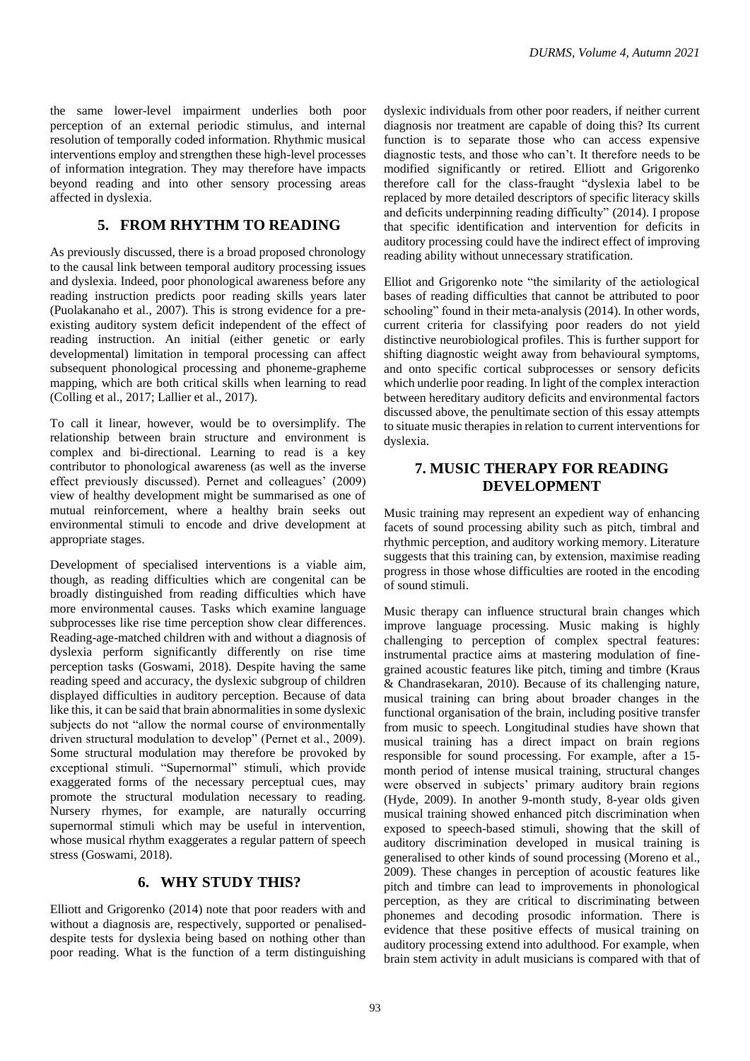the same lower-level impairment underlies both poor perception of an external periodic stimulus, and internal resolution of temporally coded information. Rhythmic musical interventions employ and strengthen these high-level processes of information integration. They may therefore have impacts beyond reading and into other sensory processing areas affected in dyslexia.

#### **5. FROM RHYTHM TO READING**

As previously discussed, there is a broad proposed chronology to the causal link between temporal auditory processing issues and dyslexia. Indeed, poor phonological awareness before any reading instruction predicts poor reading skills years later (Puolakanaho et al., 2007). This is strong evidence for a preexisting auditory system deficit independent of the effect of reading instruction. An initial (either genetic or early developmental) limitation in temporal processing can affect subsequent phonological processing and phoneme-grapheme mapping, which are both critical skills when learning to read (Colling et al., 2017; Lallier et al., 2017).

To call it linear, however, would be to oversimplify. The relationship between brain structure and environment is complex and bi-directional. Learning to read is a key contributor to phonological awareness (as well as the inverse effect previously discussed). Pernet and colleagues' (2009) view of healthy development might be summarised as one of mutual reinforcement, where a healthy brain seeks out environmental stimuli to encode and drive development at appropriate stages.

Development of specialised interventions is a viable aim, though, as reading difficulties which are congenital can be broadly distinguished from reading difficulties which have more environmental causes. Tasks which examine language subprocesses like rise time perception show clear differences. Reading-age-matched children with and without a diagnosis of dyslexia perform significantly differently on rise time perception tasks (Goswami, 2018). Despite having the same reading speed and accuracy, the dyslexic subgroup of children displayed difficulties in auditory perception. Because of data like this, it can be said that brain abnormalities in some dyslexic subjects do not "allow the normal course of environmentally driven structural modulation to develop" (Pernet et al., 2009). Some structural modulation may therefore be provoked by exceptional stimuli. "Supernormal" stimuli, which provide exaggerated forms of the necessary perceptual cues, may promote the structural modulation necessary to reading. Nursery rhymes, for example, are naturally occurring supernormal stimuli which may be useful in intervention, whose musical rhythm exaggerates a regular pattern of speech stress (Goswami, 2018).

# **6. WHY STUDY THIS?**

Elliott and Grigorenko (2014) note that poor readers with and without a diagnosis are, respectively, supported or penaliseddespite tests for dyslexia being based on nothing other than poor reading. What is the function of a term distinguishing dyslexic individuals from other poor readers, if neither current diagnosis nor treatment are capable of doing this? Its current function is to separate those who can access expensive diagnostic tests, and those who can't. It therefore needs to be modified significantly or retired. Elliott and Grigorenko therefore call for the class-fraught "dyslexia label to be replaced by more detailed descriptors of specific literacy skills and deficits underpinning reading difficulty" (2014). I propose that specific identification and intervention for deficits in auditory processing could have the indirect effect of improving reading ability without unnecessary stratification.

Elliot and Grigorenko note "the similarity of the aetiological bases of reading difficulties that cannot be attributed to poor schooling" found in their meta-analysis (2014). In other words, current criteria for classifying poor readers do not yield distinctive neurobiological profiles. This is further support for shifting diagnostic weight away from behavioural symptoms, and onto specific cortical subprocesses or sensory deficits which underlie poor reading. In light of the complex interaction between hereditary auditory deficits and environmental factors discussed above, the penultimate section of this essay attempts to situate music therapies in relation to current interventions for dyslexia.

# **7. MUSIC THERAPY FOR READING DEVELOPMENT**

Music training may represent an expedient way of enhancing facets of sound processing ability such as pitch, timbral and rhythmic perception, and auditory working memory. Literature suggests that this training can, by extension, maximise reading progress in those whose difficulties are rooted in the encoding of sound stimuli.

Music therapy can influence structural brain changes which improve language processing. Music making is highly challenging to perception of complex spectral features: instrumental practice aims at mastering modulation of finegrained acoustic features like pitch, timing and timbre (Kraus & Chandrasekaran, 2010). Because of its challenging nature, musical training can bring about broader changes in the functional organisation of the brain, including positive transfer from music to speech. Longitudinal studies have shown that musical training has a direct impact on brain regions responsible for sound processing. For example, after a 15 month period of intense musical training, structural changes were observed in subjects' primary auditory brain regions (Hyde, 2009). In another 9-month study, 8-year olds given musical training showed enhanced pitch discrimination when exposed to speech-based stimuli, showing that the skill of auditory discrimination developed in musical training is generalised to other kinds of sound processing (Moreno et al., 2009). These changes in perception of acoustic features like pitch and timbre can lead to improvements in phonological perception, as they are critical to discriminating between phonemes and decoding prosodic information. There is evidence that these positive effects of musical training on auditory processing extend into adulthood. For example, when brain stem activity in adult musicians is compared with that of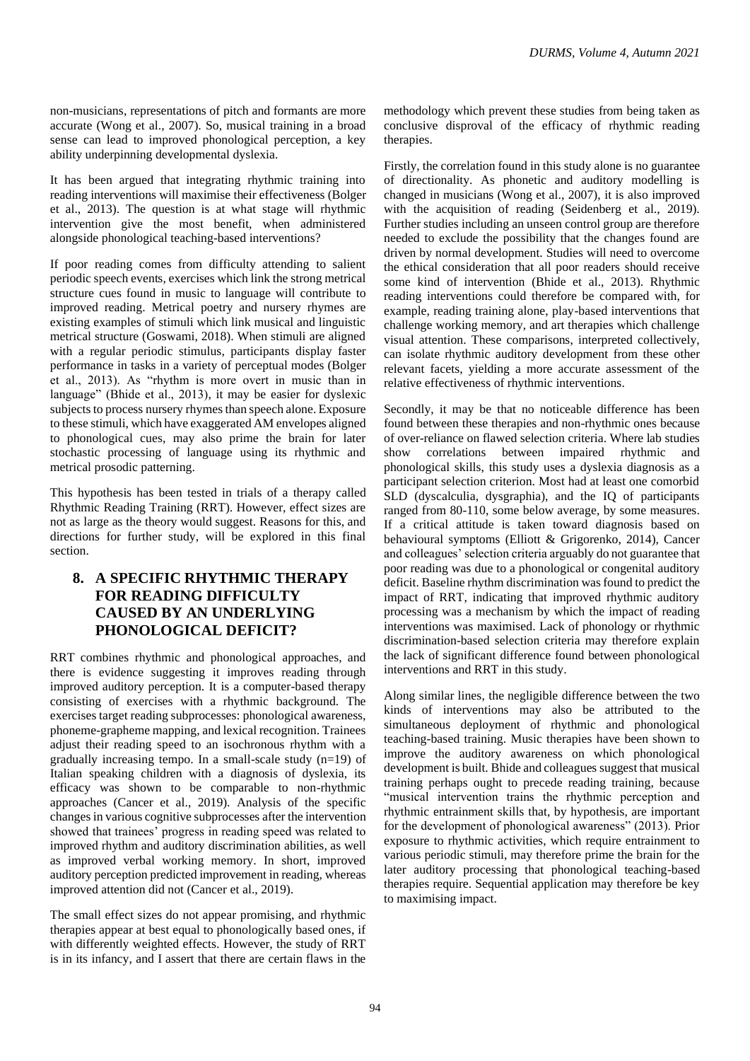non-musicians, representations of pitch and formants are more accurate (Wong et al., 2007). So, musical training in a broad sense can lead to improved phonological perception, a key ability underpinning developmental dyslexia.

It has been argued that integrating rhythmic training into reading interventions will maximise their effectiveness (Bolger et al., 2013). The question is at what stage will rhythmic intervention give the most benefit, when administered alongside phonological teaching-based interventions?

If poor reading comes from difficulty attending to salient periodic speech events, exercises which link the strong metrical structure cues found in music to language will contribute to improved reading. Metrical poetry and nursery rhymes are existing examples of stimuli which link musical and linguistic metrical structure (Goswami, 2018). When stimuli are aligned with a regular periodic stimulus, participants display faster performance in tasks in a variety of perceptual modes (Bolger et al., 2013). As "rhythm is more overt in music than in language" (Bhide et al., 2013), it may be easier for dyslexic subjects to process nursery rhymes than speech alone. Exposure to these stimuli, which have exaggerated AM envelopes aligned to phonological cues, may also prime the brain for later stochastic processing of language using its rhythmic and metrical prosodic patterning.

This hypothesis has been tested in trials of a therapy called Rhythmic Reading Training (RRT). However, effect sizes are not as large as the theory would suggest. Reasons for this, and directions for further study, will be explored in this final section.

# **8. A SPECIFIC RHYTHMIC THERAPY FOR READING DIFFICULTY CAUSED BY AN UNDERLYING PHONOLOGICAL DEFICIT?**

RRT combines rhythmic and phonological approaches, and there is evidence suggesting it improves reading through improved auditory perception. It is a computer-based therapy consisting of exercises with a rhythmic background. The exercises target reading subprocesses: phonological awareness, phoneme-grapheme mapping, and lexical recognition. Trainees adjust their reading speed to an isochronous rhythm with a gradually increasing tempo. In a small-scale study (n=19) of Italian speaking children with a diagnosis of dyslexia, its efficacy was shown to be comparable to non-rhythmic approaches (Cancer et al., 2019). Analysis of the specific changes in various cognitive subprocesses after the intervention showed that trainees' progress in reading speed was related to improved rhythm and auditory discrimination abilities, as well as improved verbal working memory. In short, improved auditory perception predicted improvement in reading, whereas improved attention did not (Cancer et al., 2019).

The small effect sizes do not appear promising, and rhythmic therapies appear at best equal to phonologically based ones, if with differently weighted effects. However, the study of RRT is in its infancy, and I assert that there are certain flaws in the

methodology which prevent these studies from being taken as conclusive disproval of the efficacy of rhythmic reading therapies.

Firstly, the correlation found in this study alone is no guarantee of directionality. As phonetic and auditory modelling is changed in musicians (Wong et al., 2007), it is also improved with the acquisition of reading (Seidenberg et al., 2019). Further studies including an unseen control group are therefore needed to exclude the possibility that the changes found are driven by normal development. Studies will need to overcome the ethical consideration that all poor readers should receive some kind of intervention (Bhide et al., 2013). Rhythmic reading interventions could therefore be compared with, for example, reading training alone, play-based interventions that challenge working memory, and art therapies which challenge visual attention. These comparisons, interpreted collectively, can isolate rhythmic auditory development from these other relevant facets, yielding a more accurate assessment of the relative effectiveness of rhythmic interventions.

Secondly, it may be that no noticeable difference has been found between these therapies and non-rhythmic ones because of over-reliance on flawed selection criteria. Where lab studies show correlations between impaired rhythmic and phonological skills, this study uses a dyslexia diagnosis as a participant selection criterion. Most had at least one comorbid SLD (dyscalculia, dysgraphia), and the IQ of participants ranged from 80-110, some below average, by some measures. If a critical attitude is taken toward diagnosis based on behavioural symptoms (Elliott & Grigorenko, 2014), Cancer and colleagues' selection criteria arguably do not guarantee that poor reading was due to a phonological or congenital auditory deficit. Baseline rhythm discrimination was found to predict the impact of RRT, indicating that improved rhythmic auditory processing was a mechanism by which the impact of reading interventions was maximised. Lack of phonology or rhythmic discrimination-based selection criteria may therefore explain the lack of significant difference found between phonological interventions and RRT in this study.

Along similar lines, the negligible difference between the two kinds of interventions may also be attributed to the simultaneous deployment of rhythmic and phonological teaching-based training. Music therapies have been shown to improve the auditory awareness on which phonological development is built. Bhide and colleagues suggest that musical training perhaps ought to precede reading training, because "musical intervention trains the rhythmic perception and rhythmic entrainment skills that, by hypothesis, are important for the development of phonological awareness" (2013). Prior exposure to rhythmic activities, which require entrainment to various periodic stimuli, may therefore prime the brain for the later auditory processing that phonological teaching-based therapies require. Sequential application may therefore be key to maximising impact.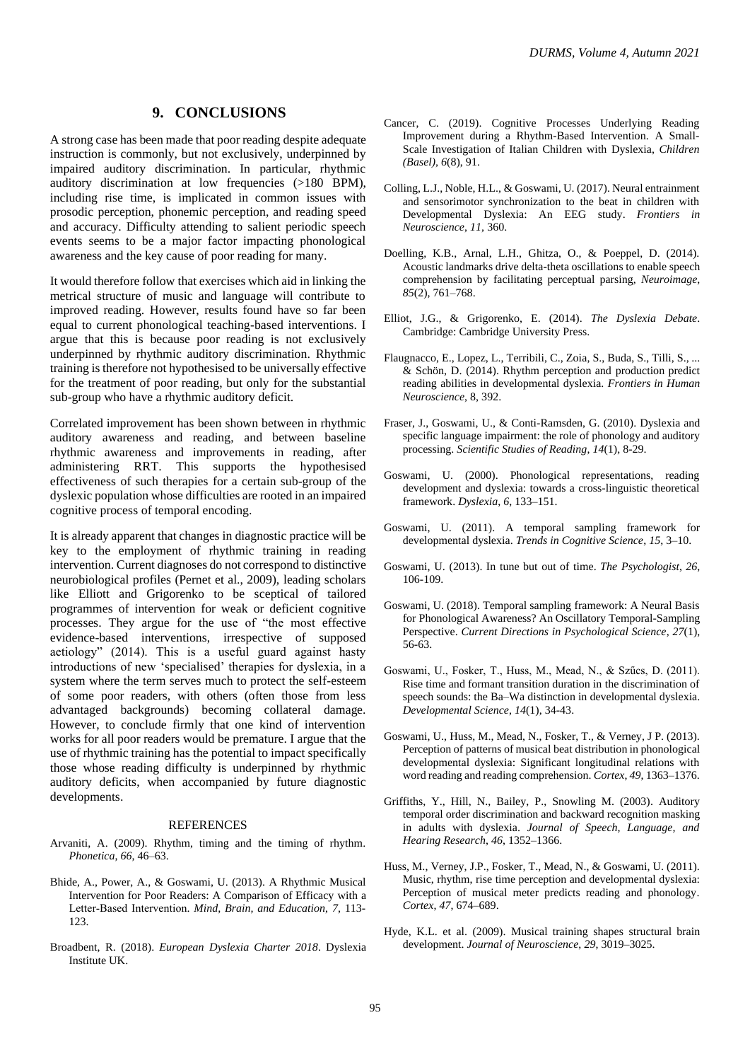#### **9. CONCLUSIONS**

A strong case has been made that poor reading despite adequate instruction is commonly, but not exclusively, underpinned by impaired auditory discrimination. In particular, rhythmic auditory discrimination at low frequencies (>180 BPM), including rise time, is implicated in common issues with prosodic perception, phonemic perception, and reading speed and accuracy. Difficulty attending to salient periodic speech events seems to be a major factor impacting phonological awareness and the key cause of poor reading for many.

It would therefore follow that exercises which aid in linking the metrical structure of music and language will contribute to improved reading. However, results found have so far been equal to current phonological teaching-based interventions. I argue that this is because poor reading is not exclusively underpinned by rhythmic auditory discrimination. Rhythmic training is therefore not hypothesised to be universally effective for the treatment of poor reading, but only for the substantial sub-group who have a rhythmic auditory deficit.

Correlated improvement has been shown between in rhythmic auditory awareness and reading, and between baseline rhythmic awareness and improvements in reading, after administering RRT. This supports the hypothesised effectiveness of such therapies for a certain sub-group of the dyslexic population whose difficulties are rooted in an impaired cognitive process of temporal encoding.

It is already apparent that changes in diagnostic practice will be key to the employment of rhythmic training in reading intervention. Current diagnoses do not correspond to distinctive neurobiological profiles (Pernet et al., 2009), leading scholars like Elliott and Grigorenko to be sceptical of tailored programmes of intervention for weak or deficient cognitive processes. They argue for the use of "the most effective evidence-based interventions, irrespective of supposed aetiology" (2014). This is a useful guard against hasty introductions of new 'specialised' therapies for dyslexia, in a system where the term serves much to protect the self-esteem of some poor readers, with others (often those from less advantaged backgrounds) becoming collateral damage. However, to conclude firmly that one kind of intervention works for all poor readers would be premature. I argue that the use of rhythmic training has the potential to impact specifically those whose reading difficulty is underpinned by rhythmic auditory deficits, when accompanied by future diagnostic developments.

#### **REFERENCES**

- Arvaniti, A. (2009). Rhythm, timing and the timing of rhythm. *Phonetica*, *66*, 46–63.
- Bhide, A., Power, A., & Goswami, U. (2013). A Rhythmic Musical Intervention for Poor Readers: A Comparison of Efficacy with a Letter‐Based Intervention. *Mind, Brain, and Education*, *7*, 113- 123.
- Broadbent, R. (2018). *European Dyslexia Charter 2018*. Dyslexia Institute UK.
- Cancer, C. (2019). Cognitive Processes Underlying Reading Improvement during a Rhythm-Based Intervention. A Small-Scale Investigation of Italian Children with Dyslexia, *Children (Basel), 6*(8), 91.
- Colling, L.J., Noble, H.L., & Goswami, U. (2017). Neural entrainment and sensorimotor synchronization to the beat in children with Developmental Dyslexia: An EEG study. *Frontiers in Neuroscience*, *11,* 360.
- Doelling, K.B., Arnal, L.H., Ghitza, O., & Poeppel, D. (2014). Acoustic landmarks drive delta-theta oscillations to enable speech comprehension by facilitating perceptual parsing, *Neuroimage*, *85*(2), 761–768.
- Elliot, J.G., & Grigorenko, E. (2014). *The Dyslexia Debate*. Cambridge: Cambridge University Press.
- Flaugnacco, E., Lopez, L., Terribili, C., Zoia, S., Buda, S., Tilli, S., ... & Schön, D. (2014). Rhythm perception and production predict reading abilities in developmental dyslexia. *Frontiers in Human Neuroscience*, 8, 392.
- Fraser, J., Goswami, U., & Conti-Ramsden, G. (2010). Dyslexia and specific language impairment: the role of phonology and auditory processing. *Scientific Studies of Reading*, *14*(1), 8-29.
- Goswami, U. (2000). Phonological representations, reading development and dyslexia: towards a cross-linguistic theoretical framework. *Dyslexia*, *6*, 133–151.
- Goswami, U. (2011). A temporal sampling framework for developmental dyslexia. *Trends in Cognitive Science*, *15*, 3–10.
- Goswami, U. (2013). In tune but out of time. *The Psychologist*, *26*, 106-109.
- Goswami, U. (2018). Temporal sampling framework: A Neural Basis for Phonological Awareness? An Oscillatory Temporal-Sampling Perspective. *Current Directions in Psychological Science*, *27*(1), 56-63.
- Goswami, U., Fosker, T., Huss, M., Mead, N., & Szűcs, D. (2011). Rise time and formant transition duration in the discrimination of speech sounds: the Ba–Wa distinction in developmental dyslexia. *Developmental Science*, *14*(1), 34-43.
- Goswami, U., Huss, M., Mead, N., Fosker, T., & Verney, J P. (2013). Perception of patterns of musical beat distribution in phonological developmental dyslexia: Significant longitudinal relations with word reading and reading comprehension. *Cortex*, *49*, 1363–1376.
- Griffiths, Y., Hill, N., Bailey, P., Snowling M. (2003). Auditory temporal order discrimination and backward recognition masking in adults with dyslexia. *Journal of Speech, Language, and Hearing Research*, *46*, 1352–1366.
- Huss, M., Verney, J.P., Fosker, T., Mead, N., & Goswami, U. (2011). Music, rhythm, rise time perception and developmental dyslexia: Perception of musical meter predicts reading and phonology. *Cortex*, *47*, 674–689.
- Hyde, K.L. et al. (2009). Musical training shapes structural brain development. *Journal of Neuroscience*, *29*, 3019–3025.